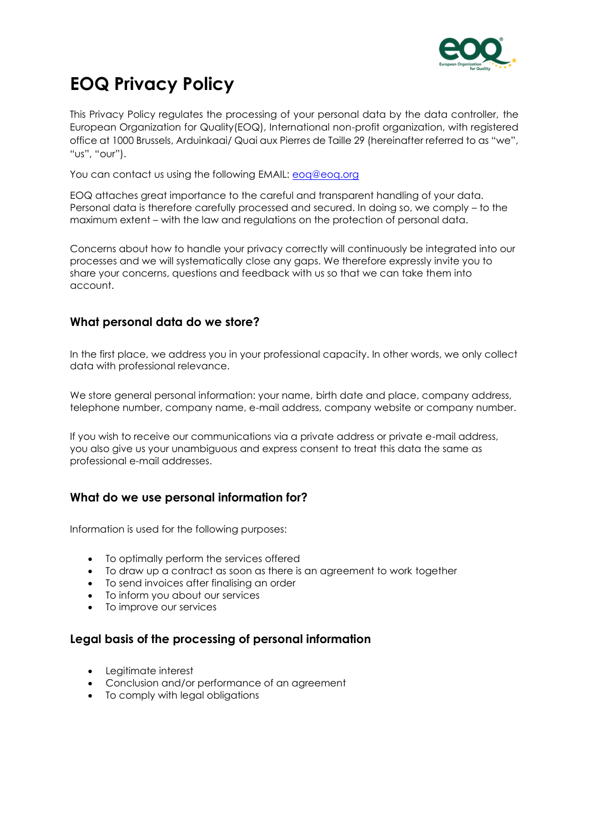

# **EOQ Privacy Policy**

This Privacy Policy regulates the processing of your personal data by the data controller, the European Organization for Quality(EOQ), International non-profit organization, with registered office at 1000 Brussels, Arduinkaai/ Quai aux Pierres de Taille 29 (hereinafter referred to as "we", "us", "our").

You can contact us using the following EMAIL: eog@eog.org

EOQ attaches great importance to the careful and transparent handling of your data. Personal data is therefore carefully processed and secured. In doing so, we comply – to the maximum extent – with the law and regulations on the protection of personal data.

Concerns about how to handle your privacy correctly will continuously be integrated into our processes and we will systematically close any gaps. We therefore expressly invite you to share your concerns, questions and feedback with us so that we can take them into account.

# **What personal data do we store?**

In the first place, we address you in your professional capacity. In other words, we only collect data with professional relevance.

We store general personal information: your name, birth date and place, company address, telephone number, company name, e-mail address, company website or company number.

If you wish to receive our communications via a private address or private e-mail address, you also give us your unambiguous and express consent to treat this data the same as professional e-mail addresses.

# **What do we use personal information for?**

Information is used for the following purposes:

- To optimally perform the services offered
- To draw up a contract as soon as there is an agreement to work together
- To send invoices after finalising an order
- To inform you about our services
- To improve our services

### **Legal basis of the processing of personal information**

- Legitimate interest
- Conclusion and/or performance of an agreement
- To comply with legal obligations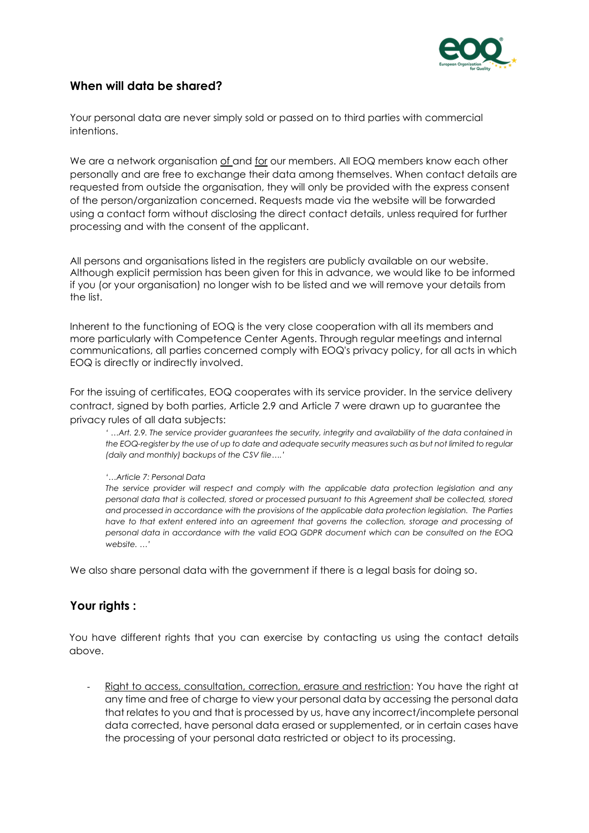

# **When will data be shared?**

Your personal data are never simply sold or passed on to third parties with commercial intentions.

We are a network organisation of and for our members. All EOQ members know each other personally and are free to exchange their data among themselves. When contact details are requested from outside the organisation, they will only be provided with the express consent of the person/organization concerned. Requests made via the website will be forwarded using a contact form without disclosing the direct contact details, unless required for further processing and with the consent of the applicant.

All persons and organisations listed in the registers are publicly available on our website. Although explicit permission has been given for this in advance, we would like to be informed if you (or your organisation) no longer wish to be listed and we will remove your details from the list.

Inherent to the functioning of EOQ is the very close cooperation with all its members and more particularly with Competence Center Agents. Through regular meetings and internal communications, all parties concerned comply with EOQ's privacy policy, for all acts in which EOQ is directly or indirectly involved.

For the issuing of certificates, EOQ cooperates with its service provider. In the service delivery contract, signed by both parties, Article 2.9 and Article 7 were drawn up to guarantee the privacy rules of all data subjects:

*' …Art. 2.9. The service provider guarantees the security, integrity and availability of the data contained in the EOQ-register by the use of up to date and adequate security measures such as but not limited to regular (daily and monthly) backups of the CSV file….'*

#### *'…Article 7: Personal Data*

*The service provider will respect and comply with the applicable data protection legislation and any personal data that is collected, stored or processed pursuant to this Agreement shall be collected, stored and processed in accordance with the provisions of the applicable data protection legislation. The Parties*  have to that extent entered into an agreement that governs the collection, storage and processing of *personal data in accordance with the valid EOQ GDPR document which can be consulted on the EOQ website. …'*

We also share personal data with the government if there is a legal basis for doing so.

### **Your rights :**

You have different rights that you can exercise by contacting us using the contact details above.

- Right to access, consultation, correction, erasure and restriction: You have the right at any time and free of charge to view your personal data by accessing the personal data that relates to you and that is processed by us, have any incorrect/incomplete personal data corrected, have personal data erased or supplemented, or in certain cases have the processing of your personal data restricted or object to its processing.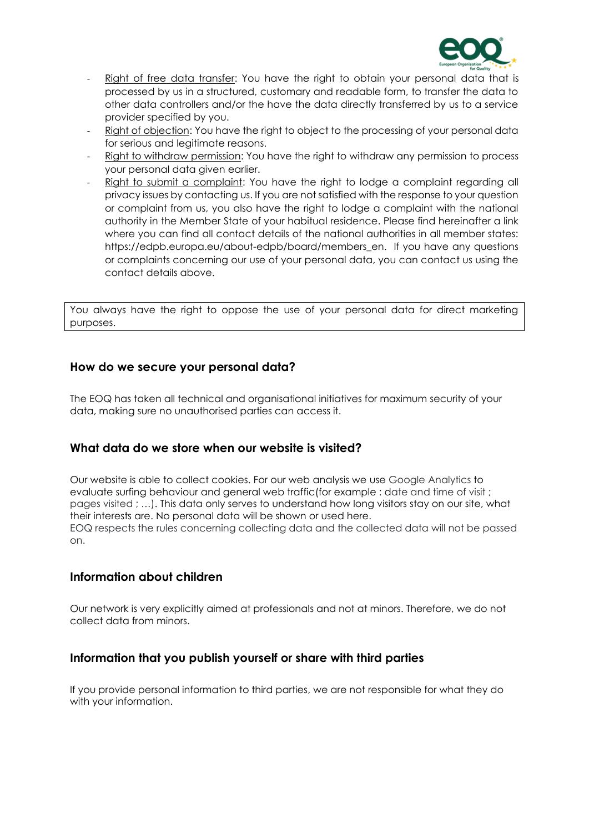

- Right of free data transfer: You have the right to obtain your personal data that is processed by us in a structured, customary and readable form, to transfer the data to other data controllers and/or the have the data directly transferred by us to a service provider specified by you.
- Right of objection: You have the right to object to the processing of your personal data for serious and legitimate reasons.
- Right to withdraw permission: You have the right to withdraw any permission to process your personal data given earlier.
- Right to submit a complaint: You have the right to lodge a complaint regarding all privacy issues by contacting us. If you are not satisfied with the response to your question or complaint from us, you also have the right to lodge a complaint with the national authority in the Member State of your habitual residence. Please find hereinafter a link where you can find all contact details of the national authorities in all member states: https://edpb.europa.eu/about-edpb/board/members\_en. If you have any questions or complaints concerning our use of your personal data, you can contact us using the contact details above.

You always have the right to oppose the use of your personal data for direct marketing purposes.

### **How do we secure your personal data?**

The EOQ has taken all technical and organisational initiatives for maximum security of your data, making sure no unauthorised parties can access it.

### **What data do we store when our website is visited?**

Our website is able to collect cookies. For our web analysis we use Google Analytics to evaluate surfing behaviour and general web traffic(for example : date and time of visit ; pages visited ; …). This data only serves to understand how long visitors stay on our site, what their interests are. No personal data will be shown or used here. EOQ respects the rules concerning collecting data and the collected data will not be passed on.

### **Information about children**

Our network is very explicitly aimed at professionals and not at minors. Therefore, we do not collect data from minors.

### **Information that you publish yourself or share with third parties**

If you provide personal information to third parties, we are not responsible for what they do with your information.